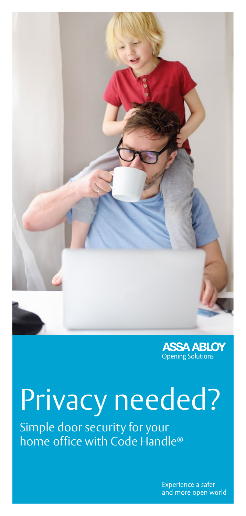



# Privacy needed?

Simple door security for your home office with Code Handle®

> Experience a safer and more open world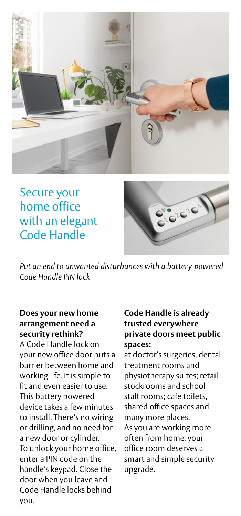

Secure your home office with an elegant Code Handle



*Put an end to unwanted disturbances with a battery-powered Code Handle PIN lock*

### **Does your new home arrangement need a security rethink?**

A Code Handle lock on your new office door puts a barrier between home and working life. It is simple to fit and even easier to use. This battery powered device takes a few minutes to install. There's no wiring or drilling, and no need for a new door or cylinder. To unlock your home office, enter a PIN code on the handle's keypad. Close the door when you leave and Code Handle locks behind you.

#### **Code Handle is already trusted everywhere private doors meet public spaces:**

at doctor's surgeries, dental treatment rooms and physiotherapy suites; retail stockrooms and school staff rooms; cafe toilets, shared office spaces and many more places. As you are working more often from home, your office room deserves a smart and simple security upgrade.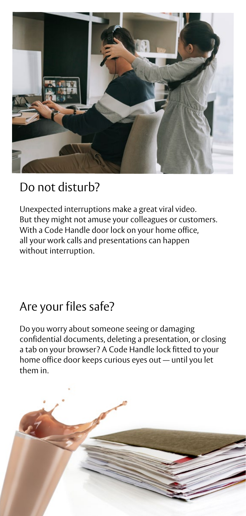

# Do not disturb?

Unexpected interruptions make a great viral video. But they might not amuse your colleagues or customers. With a Code Handle door lock on your home office, all your work calls and presentations can happen without interruption.

# Are your files safe?

Do you worry about someone seeing or damaging confidential documents, deleting a presentation, or closing a tab on your browser? A Code Handle lock fitted to your home office door keeps curious eyes out — until you let them in.

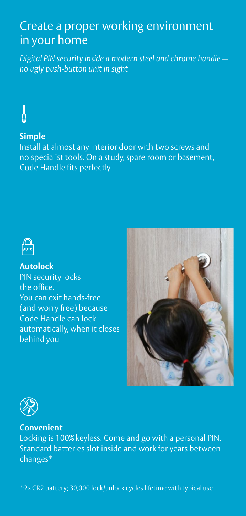## Create a proper working environment in your home

*Digital PIN security inside a modern steel and chrome handle no ugly push-button unit in sight*

# Å

**Simple** Install at almost any interior door with two screws and no specialist tools. On a study, spare room or basement, Code Handle fits perfectly



**Autolock**  PIN security locks the office. You can exit hands-free (and worry free) because Code Handle can lock automatically, when it closes behind you





#### **Convenient**

Locking is 100% keyless: Come and go with a personal PIN. Standard batteries slot inside and work for years between changes\*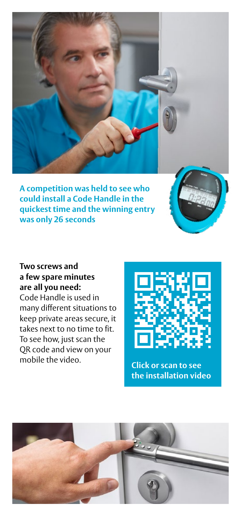

**A competition was held to see who could install a Code Handle in the quickest time and the winning entry was only 26 seconds**

### **Two screws and a few spare minutes are all you need:**

Code Handle is used in many different situations to keep private areas secure, it takes next to no time to fit. To see how, just scan the QR code and view on your<br>mobile the video



mobile the video. **Click or scan to see [the installation video](http://www.youtube.com/watch?v=GkGYsedLbiU)**